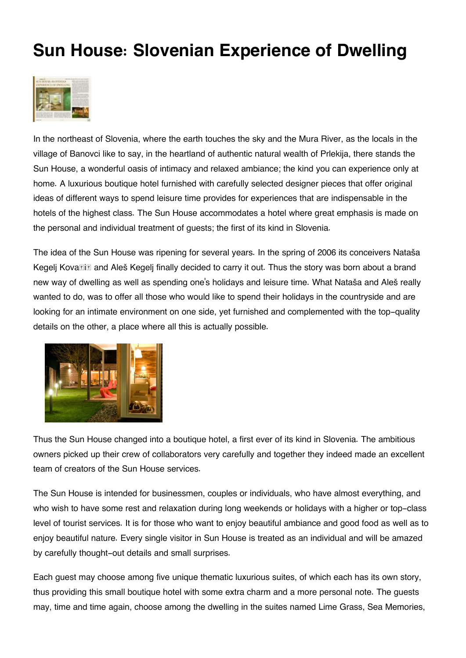## **Sun House: Slovenian Experience of Dwelling**



In the northeast of Slovenia, where the earth touches the sky and the Mura River, as the locals in the village of Banovci like to say, in the heartland of authentic natural wealth of Prlekija, there stands the Sun House, a wonderful oasis of intimacy and relaxed ambiance; the kind you can experience only at home. A luxurious boutique hotel furnished with carefully selected designer pieces that offer original ideas of different ways to spend leisure time provides for experiences that are indispensable in the hotels of the highest class. The Sun House accommodates a hotel where great emphasis is made on the personal and individual treatment of guests; the first of its kind in Slovenia.

The idea of the Sun House was ripening for several years. In the spring of 2006 its conceivers Nataša Kegelj Kova**lik and Aleš Kegelj finally decided to carry it out.** Thus the story was born about a brand new way of dwelling as well as spending one's holidays and leisure time. What Nataša and Aleš really wanted to do, was to offer all those who would like to spend their holidays in the countryside and are looking for an intimate environment on one side, yet furnished and complemented with the top-quality details on the other, a place where all this is actually possible.



Thus the Sun House changed into a boutique hotel, a first ever of its kind in Slovenia. The ambitious owners picked up their crew of collaborators very carefully and together they indeed made an excellent team of creators of the Sun House services.

The Sun House is intended for businessmen, couples or individuals, who have almost everything, and who wish to have some rest and relaxation during long weekends or holidays with a higher or top-class level of tourist services. It is for those who want to enjoy beautiful ambiance and good food as well as to enjoy beautiful nature. Every single visitor in Sun House is treated as an individual and will be amazed by carefully thought-out details and small surprises.

Each guest may choose among five unique thematic luxurious suites, of which each has its own story, thus providing this small boutique hotel with some extra charm and a more personal note. The guests may, time and time again, choose among the dwelling in the suites named Lime Grass, Sea Memories,